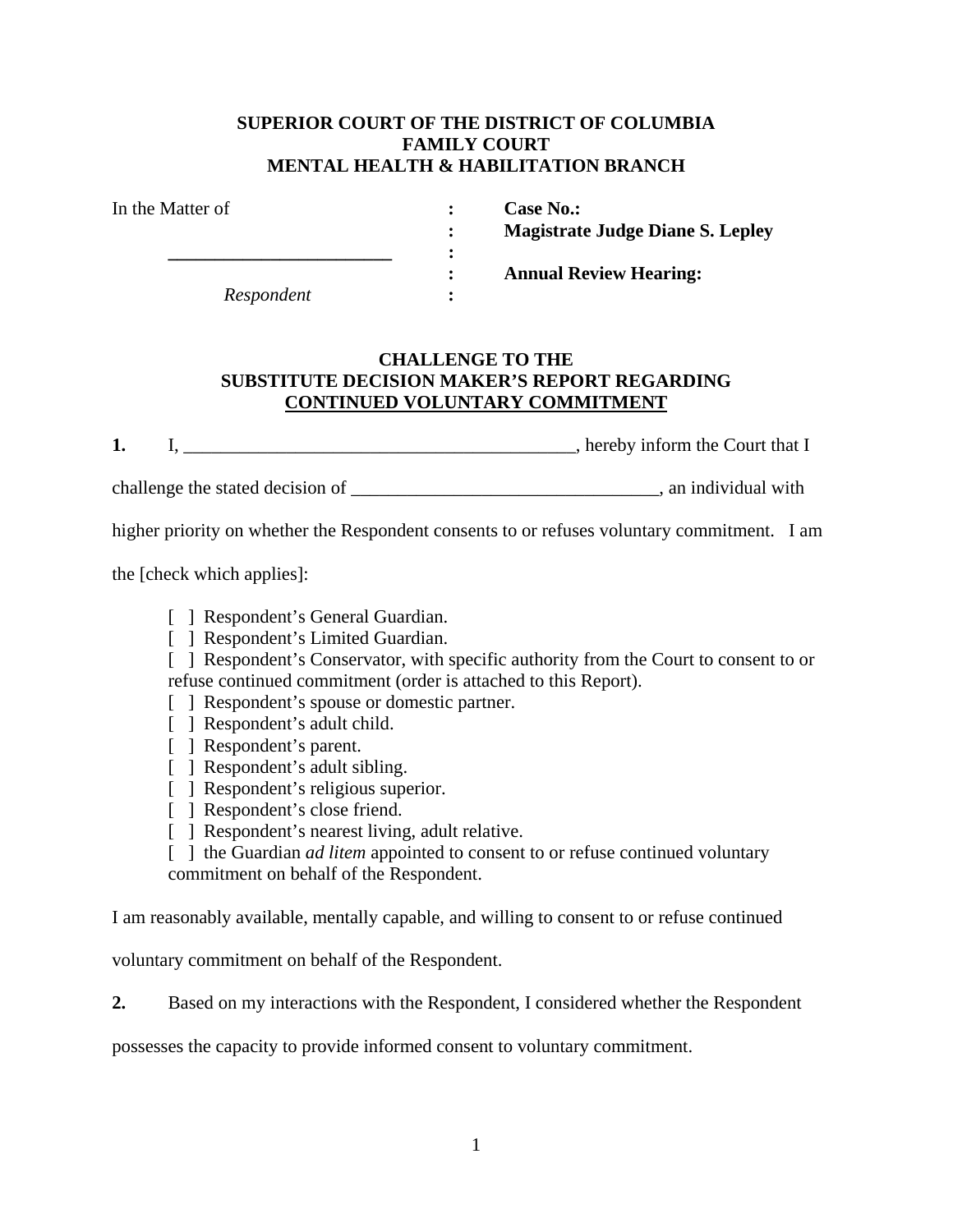## **SUPERIOR COURT OF THE DISTRICT OF COLUMBIA FAMILY COURT MENTAL HEALTH & HABILITATION BRANCH**

| In the Matter of |  |
|------------------|--|
|                  |  |
|                  |  |
|                  |  |
| Respondent       |  |

**: Case No.: : Magistrate Judge Diane S. Lepley** 

 **: Annual Review Hearing:** 

## **CHALLENGE TO THE SUBSTITUTE DECISION MAKER'S REPORT REGARDING CONTINUED VOLUNTARY COMMITMENT**

**1.** I, \_\_\_\_\_\_\_\_\_\_\_\_\_\_\_\_\_\_\_\_\_\_\_\_\_\_\_\_\_\_\_\_\_\_\_\_\_\_\_\_\_\_, hereby inform the Court that I

challenge the stated decision of \_\_\_\_\_\_\_\_\_\_\_\_\_\_\_\_\_\_\_\_\_\_\_\_\_\_\_\_\_\_\_\_\_, an individual with

higher priority on whether the Respondent consents to or refuses voluntary commitment. I am

the [check which applies]:

- [ ] Respondent's General Guardian.
- [ ] Respondent's Limited Guardian.

[ ] Respondent's Conservator, with specific authority from the Court to consent to or refuse continued commitment (order is attached to this Report).

- [ ] Respondent's spouse or domestic partner.
- [ ] Respondent's adult child.
- [ ] Respondent's parent.
- [ ] Respondent's adult sibling.
- [ ] Respondent's religious superior.
- [ ] Respondent's close friend.
- [ ] Respondent's nearest living, adult relative.

[ ] the Guardian *ad litem* appointed to consent to or refuse continued voluntary commitment on behalf of the Respondent.

I am reasonably available, mentally capable, and willing to consent to or refuse continued

voluntary commitment on behalf of the Respondent.

**2.** Based on my interactions with the Respondent, I considered whether the Respondent

possesses the capacity to provide informed consent to voluntary commitment.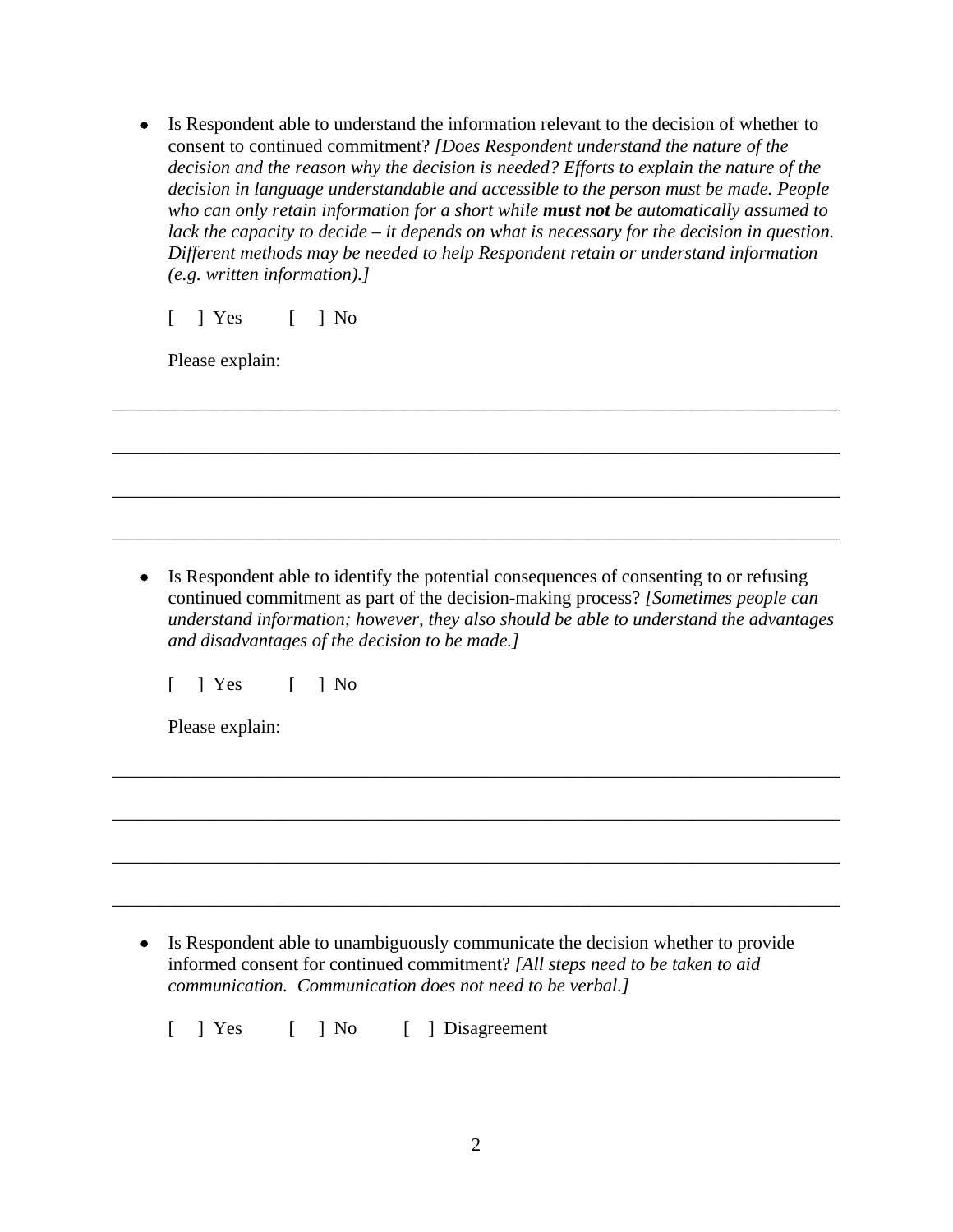Is Respondent able to understand the information relevant to the decision of whether to consent to continued commitment? *[Does Respondent understand the nature of the decision and the reason why the decision is needed? Efforts to explain the nature of the decision in language understandable and accessible to the person must be made. People who can only retain information for a short while must not be automatically assumed to lack the capacity to decide – it depends on what is necessary for the decision in question. Different methods may be needed to help Respondent retain or understand information (e.g. written information).]*

\_\_\_\_\_\_\_\_\_\_\_\_\_\_\_\_\_\_\_\_\_\_\_\_\_\_\_\_\_\_\_\_\_\_\_\_\_\_\_\_\_\_\_\_\_\_\_\_\_\_\_\_\_\_\_\_\_\_\_\_\_\_\_\_\_\_\_\_\_\_\_\_\_\_\_\_\_\_

\_\_\_\_\_\_\_\_\_\_\_\_\_\_\_\_\_\_\_\_\_\_\_\_\_\_\_\_\_\_\_\_\_\_\_\_\_\_\_\_\_\_\_\_\_\_\_\_\_\_\_\_\_\_\_\_\_\_\_\_\_\_\_\_\_\_\_\_\_\_\_\_\_\_\_\_\_\_

\_\_\_\_\_\_\_\_\_\_\_\_\_\_\_\_\_\_\_\_\_\_\_\_\_\_\_\_\_\_\_\_\_\_\_\_\_\_\_\_\_\_\_\_\_\_\_\_\_\_\_\_\_\_\_\_\_\_\_\_\_\_\_\_\_\_\_\_\_\_\_\_\_\_\_\_\_\_

\_\_\_\_\_\_\_\_\_\_\_\_\_\_\_\_\_\_\_\_\_\_\_\_\_\_\_\_\_\_\_\_\_\_\_\_\_\_\_\_\_\_\_\_\_\_\_\_\_\_\_\_\_\_\_\_\_\_\_\_\_\_\_\_\_\_\_\_\_\_\_\_\_\_\_\_\_\_

 $[ ]$   $\begin{bmatrix} 1 & \text{Yes} \\ 1 & \text{No} \end{bmatrix}$ 

Please explain:

 Is Respondent able to identify the potential consequences of consenting to or refusing continued commitment as part of the decision-making process? *[Sometimes people can understand information; however, they also should be able to understand the advantages and disadvantages of the decision to be made.]* 

\_\_\_\_\_\_\_\_\_\_\_\_\_\_\_\_\_\_\_\_\_\_\_\_\_\_\_\_\_\_\_\_\_\_\_\_\_\_\_\_\_\_\_\_\_\_\_\_\_\_\_\_\_\_\_\_\_\_\_\_\_\_\_\_\_\_\_\_\_\_\_\_\_\_\_\_\_\_

\_\_\_\_\_\_\_\_\_\_\_\_\_\_\_\_\_\_\_\_\_\_\_\_\_\_\_\_\_\_\_\_\_\_\_\_\_\_\_\_\_\_\_\_\_\_\_\_\_\_\_\_\_\_\_\_\_\_\_\_\_\_\_\_\_\_\_\_\_\_\_\_\_\_\_\_\_\_

\_\_\_\_\_\_\_\_\_\_\_\_\_\_\_\_\_\_\_\_\_\_\_\_\_\_\_\_\_\_\_\_\_\_\_\_\_\_\_\_\_\_\_\_\_\_\_\_\_\_\_\_\_\_\_\_\_\_\_\_\_\_\_\_\_\_\_\_\_\_\_\_\_\_\_\_\_\_

\_\_\_\_\_\_\_\_\_\_\_\_\_\_\_\_\_\_\_\_\_\_\_\_\_\_\_\_\_\_\_\_\_\_\_\_\_\_\_\_\_\_\_\_\_\_\_\_\_\_\_\_\_\_\_\_\_\_\_\_\_\_\_\_\_\_\_\_\_\_\_\_\_\_\_\_\_\_

[ ] Yes [ ] No

Please explain:

 Is Respondent able to unambiguously communicate the decision whether to provide informed consent for continued commitment? *[All steps need to be taken to aid communication. Communication does not need to be verbal.]* 

[ ] Yes [ ] No [ ] Disagreement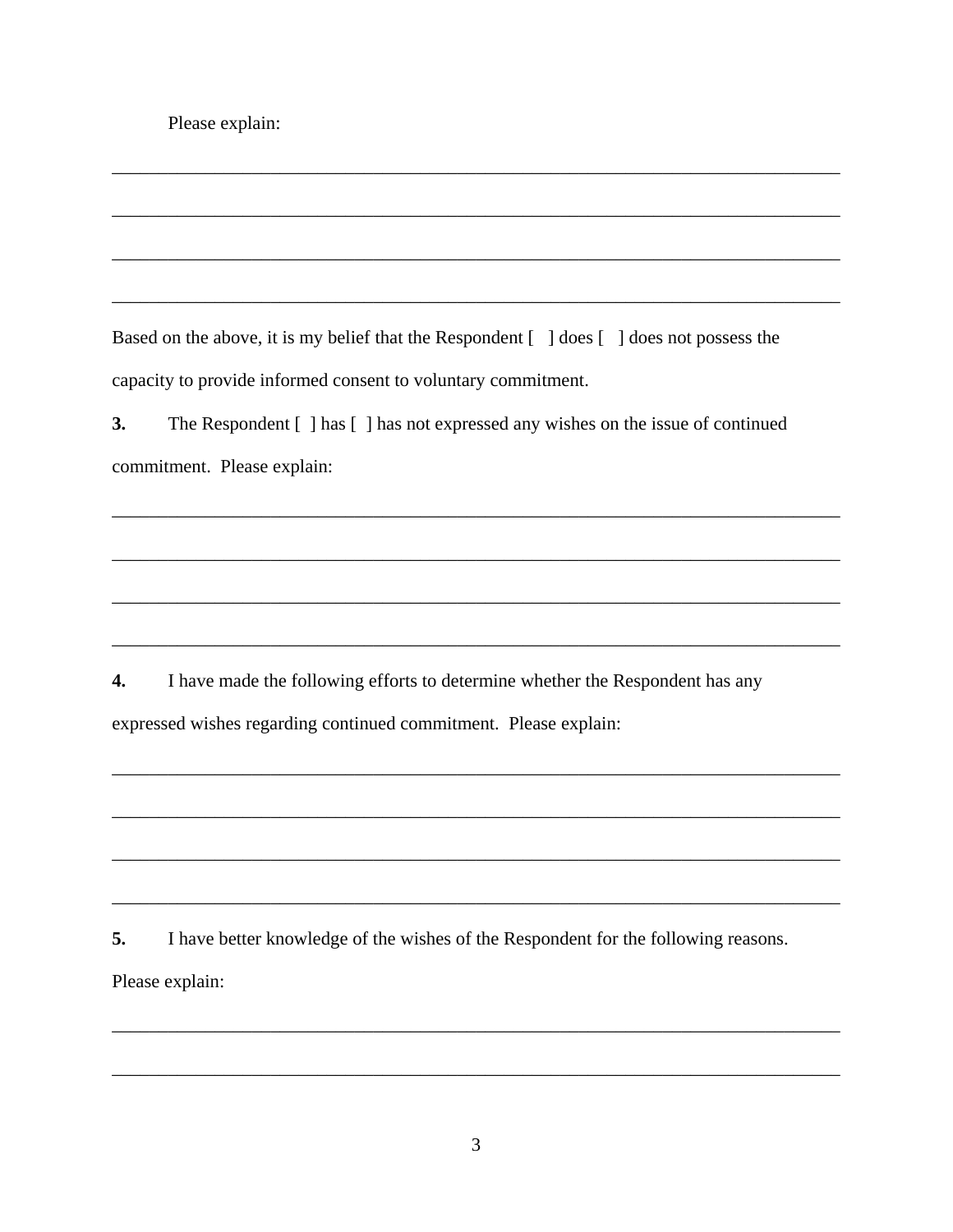Please explain:

Based on the above, it is my belief that the Respondent [ ] does [ ] does not possess the capacity to provide informed consent to voluntary commitment.

The Respondent [ ] has [ ] has not expressed any wishes on the issue of continued  $\overline{3}$ . commitment. Please explain:

 $\mathbf{4}$ I have made the following efforts to determine whether the Respondent has any expressed wishes regarding continued commitment. Please explain:

5. I have better knowledge of the wishes of the Respondent for the following reasons. Please explain: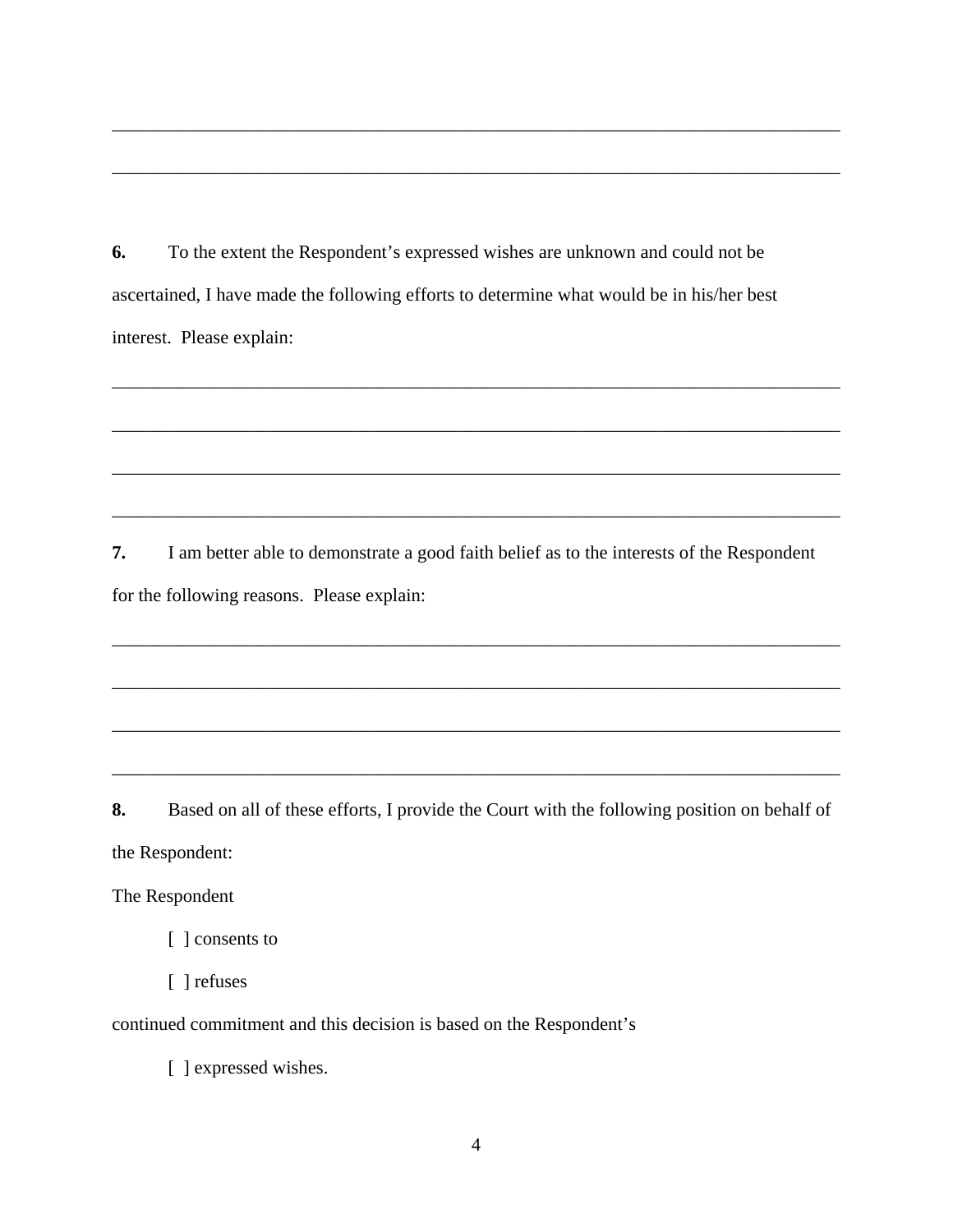**6.** To the extent the Respondent's expressed wishes are unknown and could not be ascertained, I have made the following efforts to determine what would be in his/her best interest. Please explain:

\_\_\_\_\_\_\_\_\_\_\_\_\_\_\_\_\_\_\_\_\_\_\_\_\_\_\_\_\_\_\_\_\_\_\_\_\_\_\_\_\_\_\_\_\_\_\_\_\_\_\_\_\_\_\_\_\_\_\_\_\_\_\_\_\_\_\_\_\_\_\_\_\_\_\_\_\_\_

\_\_\_\_\_\_\_\_\_\_\_\_\_\_\_\_\_\_\_\_\_\_\_\_\_\_\_\_\_\_\_\_\_\_\_\_\_\_\_\_\_\_\_\_\_\_\_\_\_\_\_\_\_\_\_\_\_\_\_\_\_\_\_\_\_\_\_\_\_\_\_\_\_\_\_\_\_\_

\_\_\_\_\_\_\_\_\_\_\_\_\_\_\_\_\_\_\_\_\_\_\_\_\_\_\_\_\_\_\_\_\_\_\_\_\_\_\_\_\_\_\_\_\_\_\_\_\_\_\_\_\_\_\_\_\_\_\_\_\_\_\_\_\_\_\_\_\_\_\_\_\_\_\_\_\_\_

\_\_\_\_\_\_\_\_\_\_\_\_\_\_\_\_\_\_\_\_\_\_\_\_\_\_\_\_\_\_\_\_\_\_\_\_\_\_\_\_\_\_\_\_\_\_\_\_\_\_\_\_\_\_\_\_\_\_\_\_\_\_\_\_\_\_\_\_\_\_\_\_\_\_\_\_\_\_

\_\_\_\_\_\_\_\_\_\_\_\_\_\_\_\_\_\_\_\_\_\_\_\_\_\_\_\_\_\_\_\_\_\_\_\_\_\_\_\_\_\_\_\_\_\_\_\_\_\_\_\_\_\_\_\_\_\_\_\_\_\_\_\_\_\_\_\_\_\_\_\_\_\_\_\_\_\_

\_\_\_\_\_\_\_\_\_\_\_\_\_\_\_\_\_\_\_\_\_\_\_\_\_\_\_\_\_\_\_\_\_\_\_\_\_\_\_\_\_\_\_\_\_\_\_\_\_\_\_\_\_\_\_\_\_\_\_\_\_\_\_\_\_\_\_\_\_\_\_\_\_\_\_\_\_\_

\_\_\_\_\_\_\_\_\_\_\_\_\_\_\_\_\_\_\_\_\_\_\_\_\_\_\_\_\_\_\_\_\_\_\_\_\_\_\_\_\_\_\_\_\_\_\_\_\_\_\_\_\_\_\_\_\_\_\_\_\_\_\_\_\_\_\_\_\_\_\_\_\_\_\_\_\_\_

\_\_\_\_\_\_\_\_\_\_\_\_\_\_\_\_\_\_\_\_\_\_\_\_\_\_\_\_\_\_\_\_\_\_\_\_\_\_\_\_\_\_\_\_\_\_\_\_\_\_\_\_\_\_\_\_\_\_\_\_\_\_\_\_\_\_\_\_\_\_\_\_\_\_\_\_\_\_

\_\_\_\_\_\_\_\_\_\_\_\_\_\_\_\_\_\_\_\_\_\_\_\_\_\_\_\_\_\_\_\_\_\_\_\_\_\_\_\_\_\_\_\_\_\_\_\_\_\_\_\_\_\_\_\_\_\_\_\_\_\_\_\_\_\_\_\_\_\_\_\_\_\_\_\_\_\_

\_\_\_\_\_\_\_\_\_\_\_\_\_\_\_\_\_\_\_\_\_\_\_\_\_\_\_\_\_\_\_\_\_\_\_\_\_\_\_\_\_\_\_\_\_\_\_\_\_\_\_\_\_\_\_\_\_\_\_\_\_\_\_\_\_\_\_\_\_\_\_\_\_\_\_\_\_\_

**7.** I am better able to demonstrate a good faith belief as to the interests of the Respondent for the following reasons. Please explain:

**8.** Based on all of these efforts, I provide the Court with the following position on behalf of the Respondent:

The Respondent

[ ] consents to

[ ] refuses

continued commitment and this decision is based on the Respondent's

[ ] expressed wishes.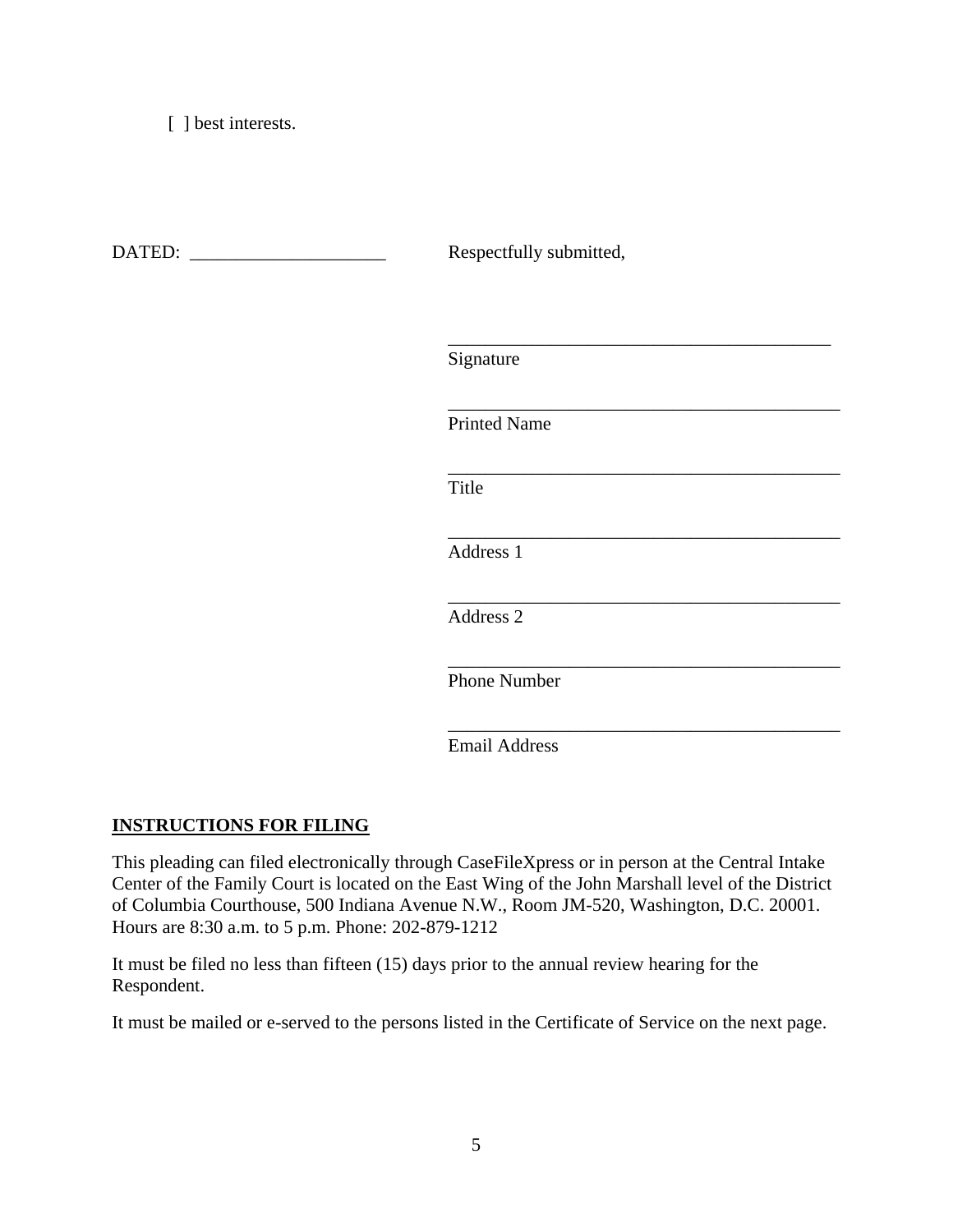[ ] best interests.

DATED: \_\_\_\_\_\_\_\_\_\_\_\_\_\_\_\_\_\_\_\_\_ Respectfully submitted,

Signature

 $\overline{\phantom{a}}$  , which is a set of the set of the set of the set of the set of the set of the set of the set of the set of the set of the set of the set of the set of the set of the set of the set of the set of the set of th

 $\overline{\phantom{a}}$  , which is a set of the set of the set of the set of the set of the set of the set of the set of the set of the set of the set of the set of the set of the set of the set of the set of the set of the set of th

 $\overline{\phantom{a}}$  , which is a set of the set of the set of the set of the set of the set of the set of the set of the set of the set of the set of the set of the set of the set of the set of the set of the set of the set of th

Printed Name

**Title** 

 $\overline{\phantom{a}}$  , and the contract of the contract of the contract of the contract of the contract of the contract of the contract of the contract of the contract of the contract of the contract of the contract of the contrac Address 1

 $\overline{\phantom{a}}$  , which is a set of the set of the set of the set of the set of the set of the set of the set of the set of the set of the set of the set of the set of the set of the set of the set of the set of the set of th Address 2

 $\overline{\phantom{a}}$  , which is a set of the set of the set of the set of the set of the set of the set of the set of the set of the set of the set of the set of the set of the set of the set of the set of the set of the set of th

 $\overline{\phantom{a}}$  , and the contract of the contract of the contract of the contract of the contract of the contract of the contract of the contract of the contract of the contract of the contract of the contract of the contrac

Phone Number

Email Address

## **INSTRUCTIONS FOR FILING**

This pleading can filed electronically through CaseFileXpress or in person at the Central Intake Center of the Family Court is located on the East Wing of the John Marshall level of the District of Columbia Courthouse, 500 Indiana Avenue N.W., Room JM-520, Washington, D.C. 20001. Hours are 8:30 a.m. to 5 p.m. Phone: 202-879-1212

It must be filed no less than fifteen (15) days prior to the annual review hearing for the Respondent.

It must be mailed or e-served to the persons listed in the Certificate of Service on the next page.